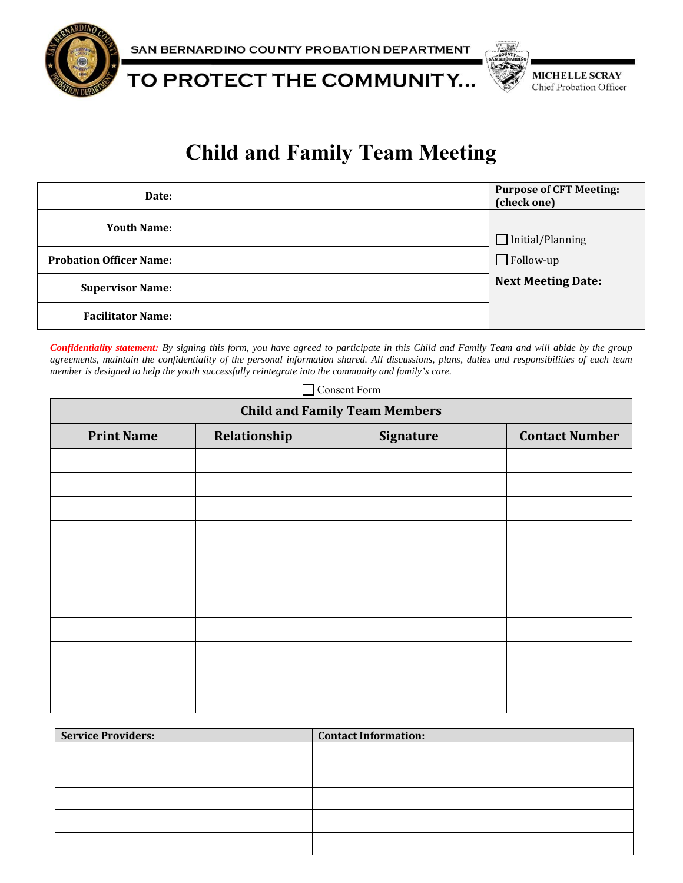

SAN BERNARDINO COUNTY PROBATION DEPARTMENT

TO PROTECT THE COMMUNITY...



## **Child and Family Team Meeting**

| Date:                          | <b>Purpose of CFT Meeting:</b><br>(check one) |
|--------------------------------|-----------------------------------------------|
| <b>Youth Name:</b>             | $\Box$ Initial/Planning                       |
| <b>Probation Officer Name:</b> | $\Box$ Follow-up                              |
| <b>Supervisor Name:</b>        | <b>Next Meeting Date:</b>                     |
| <b>Facilitator Name:</b>       |                                               |

*Confidentiality statement: By signing this form, you have agreed to participate in this Child and Family Team and will abide by the group agreements, maintain the confidentiality of the personal information shared. All discussions, plans, duties and responsibilities of each team member is designed to help the youth successfully reintegrate into the community and family's care.* 

Consent Form

| <b>Child and Family Team Members</b> |              |                  |                       |  |
|--------------------------------------|--------------|------------------|-----------------------|--|
| <b>Print Name</b>                    | Relationship | <b>Signature</b> | <b>Contact Number</b> |  |
|                                      |              |                  |                       |  |
|                                      |              |                  |                       |  |
|                                      |              |                  |                       |  |
|                                      |              |                  |                       |  |
|                                      |              |                  |                       |  |
|                                      |              |                  |                       |  |
|                                      |              |                  |                       |  |
|                                      |              |                  |                       |  |
|                                      |              |                  |                       |  |
|                                      |              |                  |                       |  |
|                                      |              |                  |                       |  |

| <b>Service Providers:</b> | <b>Contact Information:</b> |
|---------------------------|-----------------------------|
|                           |                             |
|                           |                             |
|                           |                             |
|                           |                             |
|                           |                             |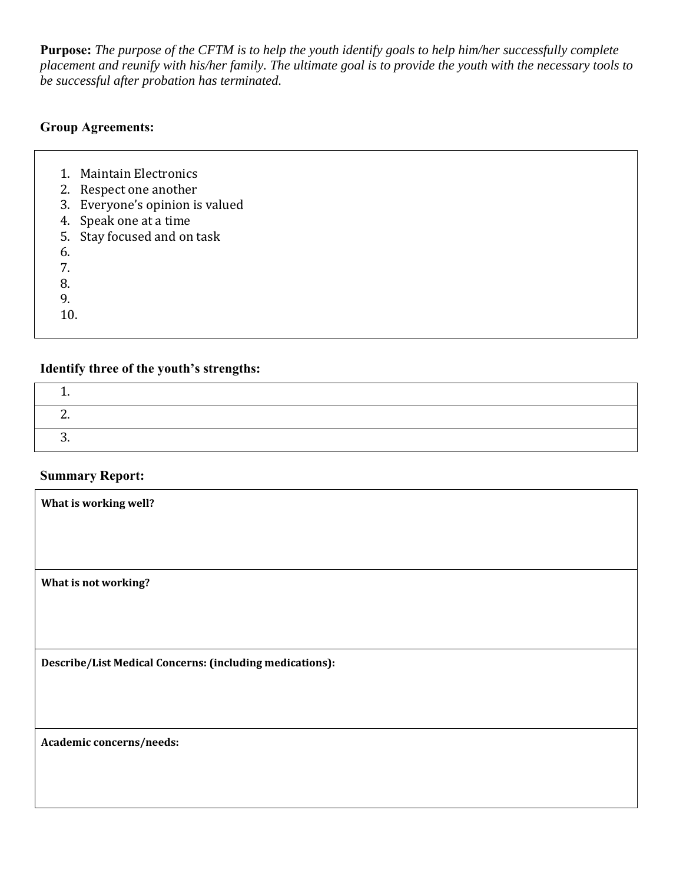**Purpose:** *The purpose of the CFTM is to help the youth identify goals to help him/her successfully complete placement and reunify with his/her family. The ultimate goal is to provide the youth with the necessary tools to be successful after probation has terminated.* 

#### **Group Agreements:**

- 1. Maintain Electronics
- 2. Respect one another
- 3. Everyone's opinion is valued
- 4. Speak one at a time
- 5. Stay focused and on task
- 6.
- 7.
- 8.
- 9.
- 10.

#### **Identify three of the youth's strengths:**

#### **Summary Report:**

| What is working well?                                    |
|----------------------------------------------------------|
|                                                          |
| What is not working?                                     |
|                                                          |
| Describe/List Medical Concerns: (including medications): |
|                                                          |
| Academic concerns/needs:                                 |
|                                                          |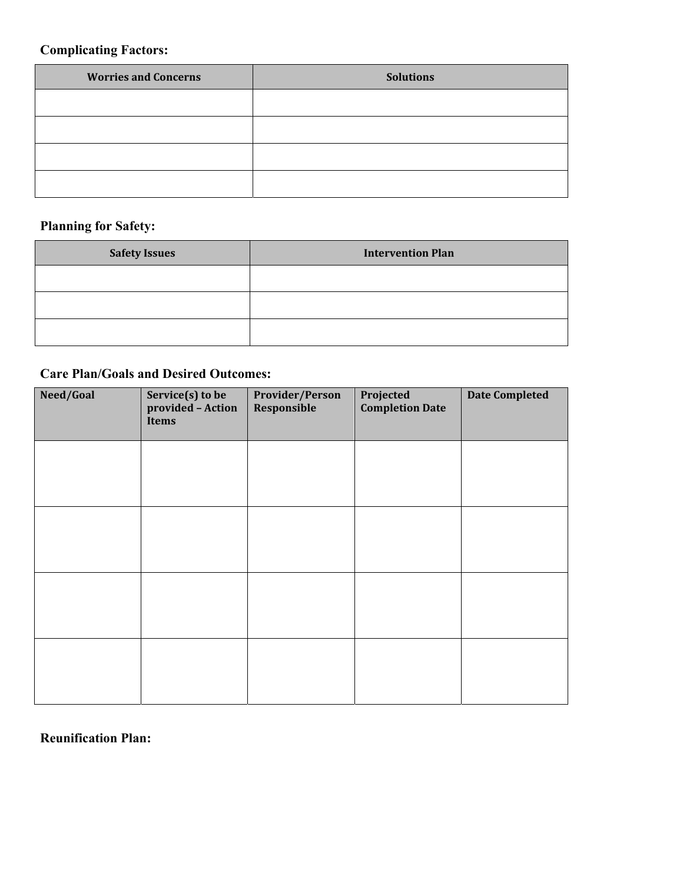#### **Complicating Factors:**

| <b>Worries and Concerns</b> | <b>Solutions</b> |
|-----------------------------|------------------|
|                             |                  |
|                             |                  |
|                             |                  |
|                             |                  |

## **Planning for Safety:**

| <b>Safety Issues</b> | <b>Intervention Plan</b> |
|----------------------|--------------------------|
|                      |                          |
|                      |                          |
|                      |                          |

#### **Care Plan/Goals and Desired Outcomes:**

| Need/Goal | Service(s) to be<br>provided - Action<br><b>Items</b> | Provider/Person<br>Responsible | Projected<br><b>Completion Date</b> | <b>Date Completed</b> |
|-----------|-------------------------------------------------------|--------------------------------|-------------------------------------|-----------------------|
|           |                                                       |                                |                                     |                       |
|           |                                                       |                                |                                     |                       |
|           |                                                       |                                |                                     |                       |
|           |                                                       |                                |                                     |                       |
|           |                                                       |                                |                                     |                       |

## **Reunification Plan:**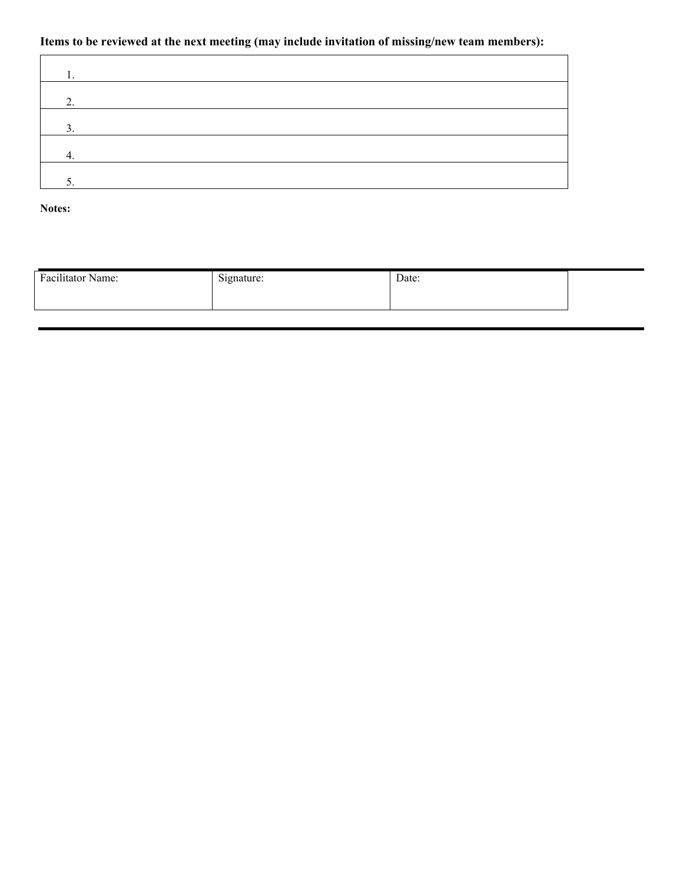#### **Items to be reviewed at the next meeting (may include invitation of missing/new team members):**

| ◠<br>z. |  |  |
|---------|--|--|
| ◠       |  |  |
|         |  |  |
| J.      |  |  |

**Notes:** 

| Facilitator Name: | signature:<br>$\circ$ | Date: |  |
|-------------------|-----------------------|-------|--|
|                   |                       |       |  |
|                   |                       |       |  |